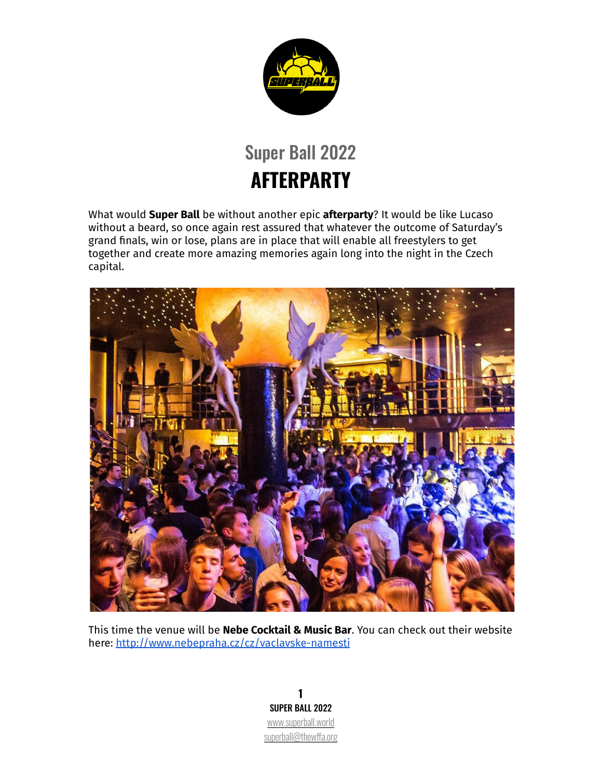

## Super Ball 2022 **AFTERPARTY**

What would **Super Ball** be without another epic **afterparty**? It would be like Lucaso without a beard, so once again rest assured that whatever the outcome of Saturday's grand finals, win or lose, plans are in place that will enable all freestylers to get together and create more amazing memories again long into the night in the Czech capital.



This time the venue will be **Nebe Cocktail & Music Bar**. You can check out their website here: <http://www.nebepraha.cz/cz/vaclavske-namesti>

**1** SUPER BALL 2022 [www.superball.world](http://www.superball.world) [superball@thewffa.org](mailto:superball@thewffa.org)